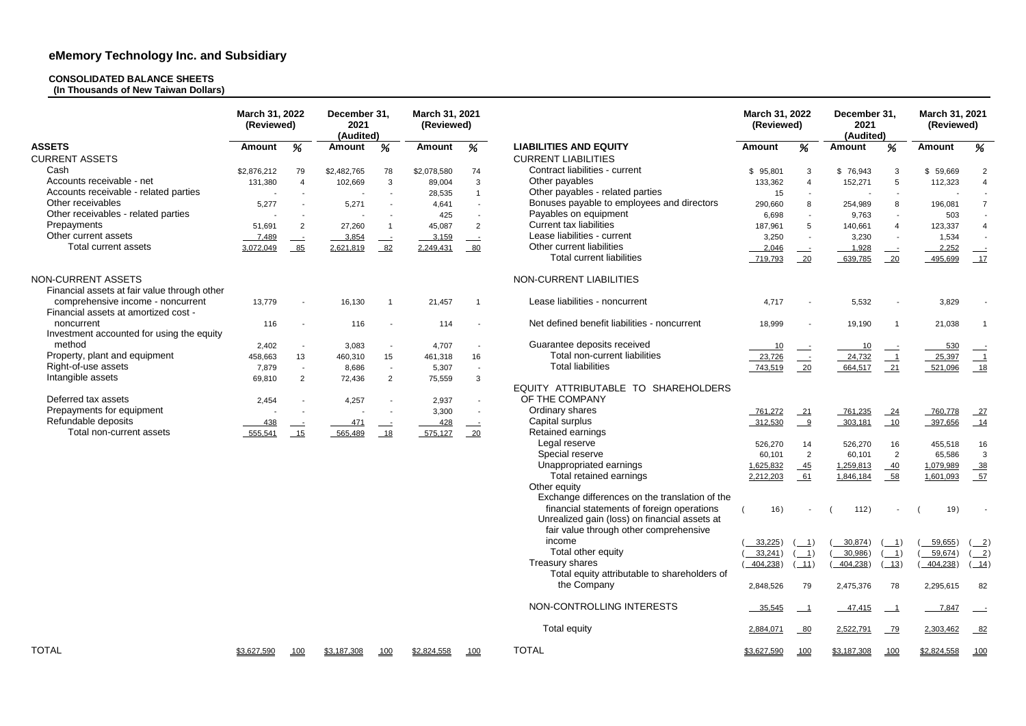### **CONSOLIDATED BALANCE SHEETS**

**(In Thousands of New Taiwan Dollars)**

|                                                                    | March 31, 2022<br>(Reviewed) |                          | December 31,<br>2021<br>(Audited) |                          | March 31, 2021<br>(Reviewed) |                          | March 31, 2022<br>(Reviewed)                   |               | December 31,<br>2021<br>(Audited)               |               | March 31, 2021<br>(Reviewed)                     |               |                                           |
|--------------------------------------------------------------------|------------------------------|--------------------------|-----------------------------------|--------------------------|------------------------------|--------------------------|------------------------------------------------|---------------|-------------------------------------------------|---------------|--------------------------------------------------|---------------|-------------------------------------------|
| <b>ASSETS</b>                                                      | Amount                       | %                        | <b>Amount</b>                     | %                        | <b>Amount</b>                | %                        | <b>LIABILITIES AND EQUITY</b>                  | <b>Amount</b> | %                                               | <b>Amount</b> | %                                                | <b>Amount</b> | %                                         |
| <b>CURRENT ASSETS</b>                                              |                              |                          |                                   |                          |                              |                          | <b>CURRENT LIABILITIES</b>                     |               |                                                 |               |                                                  |               |                                           |
| Cash                                                               | \$2,876,212                  | 79                       | \$2,482,765                       | 78                       | \$2,078,580                  | 74                       | Contract liabilities - current                 | \$95,801      | 3                                               | \$76,943      | 3                                                | \$59,669      | 2                                         |
| Accounts receivable - net                                          | 131,380                      | $\overline{4}$           | 102,669                           | 3                        | 89,004                       | $\mathbf{3}$             | Other payables                                 | 133,362       | $\overline{4}$                                  | 152,271       | 5                                                | 112,323       |                                           |
| Accounts receivable - related parties                              |                              |                          |                                   |                          | 28,535                       | $\overline{1}$           | Other payables - related parties               | 15            | $\sim$                                          |               |                                                  |               |                                           |
| Other receivables                                                  | 5,277                        |                          | 5,271                             |                          | 4,641                        |                          | Bonuses payable to employees and directors     | 290,660       | 8                                               | 254,989       | 8                                                | 196,081       | $\overline{7}$                            |
| Other receivables - related parties                                |                              |                          |                                   |                          | 425                          |                          | Payables on equipment                          | 6,698         | $\sim$                                          | 9,763         |                                                  | 503           |                                           |
| Prepayments                                                        | 51,691                       | $\overline{2}$           | 27,260                            |                          | 45,087                       | $\overline{2}$           | <b>Current tax liabilities</b>                 | 187,961       | 5 <sup>5</sup>                                  | 140,661       | $\overline{A}$                                   | 123,337       |                                           |
| Other current assets                                               |                              |                          | 3,854                             |                          | 3,159                        |                          | Lease liabilities - current                    | 3,250         | $\sim$                                          | 3,230         |                                                  | 1,534         |                                           |
| <b>Total current assets</b>                                        | 7,489                        | $\equiv$<br>85           | 2,621,819                         | 82                       | 2,249,431                    | $\equiv$<br>$-80$        | Other current liabilities                      |               |                                                 |               |                                                  |               |                                           |
|                                                                    | 3,072,049                    |                          |                                   |                          |                              |                          | <b>Total current liabilities</b>               | 2,046         | $\frac{1}{2}$                                   | 1,928         | $\sim$ $\sim$                                    | 2,252         |                                           |
|                                                                    |                              |                          |                                   |                          |                              |                          |                                                | 719,793       | $\frac{20}{ }$                                  | 639,785       | $\frac{20}{ }$                                   | 495,699       |                                           |
| NON-CURRENT ASSETS<br>Financial assets at fair value through other |                              |                          |                                   |                          |                              |                          | NON-CURRENT LIABILITIES                        |               |                                                 |               |                                                  |               |                                           |
| comprehensive income - noncurrent                                  | 13,779                       |                          | 16,130                            |                          | 21,457                       |                          | Lease liabilities - noncurrent                 | 4,717         |                                                 | 5,532         |                                                  | 3,829         |                                           |
| Financial assets at amortized cost -                               |                              |                          |                                   |                          |                              |                          |                                                |               |                                                 |               |                                                  |               |                                           |
| noncurrent                                                         | 116                          |                          | 116                               |                          | 114                          |                          | Net defined benefit liabilities - noncurrent   | 18,999        |                                                 | 19,190        |                                                  | 21,038        |                                           |
| Investment accounted for using the equity                          |                              |                          |                                   |                          |                              |                          |                                                |               |                                                 |               |                                                  |               |                                           |
| method                                                             |                              |                          |                                   |                          | 4,707                        |                          | Guarantee deposits received                    |               |                                                 |               |                                                  |               |                                           |
| Property, plant and equipment                                      | 2,402                        | $\blacksquare$           | 3,083                             | 15                       |                              |                          | Total non-current liabilities                  | 10            |                                                 | 10            |                                                  | 530           |                                           |
|                                                                    | 458,663                      | 13                       | 460,310                           |                          | 461,318                      | 16                       | <b>Total liabilities</b>                       | 23,726        | $\equiv$                                        | 24,732        | $\overline{\phantom{0}1}$                        | 25,397        | $\overline{\phantom{0}}$                  |
| Right-of-use assets                                                | 7,879                        | $\overline{\phantom{a}}$ | 8,686                             | $\blacksquare$           | 5,307                        | $\overline{\phantom{a}}$ |                                                | 743,519       | 20                                              | 664,517       | 21                                               | 521,096       | 18                                        |
| Intangible assets                                                  | 69,810                       | $\overline{2}$           | 72,436                            | $\overline{2}$           | 75,559                       | $\mathbf{3}$             | EQUITY ATTRIBUTABLE TO SHAREHOLDERS            |               |                                                 |               |                                                  |               |                                           |
|                                                                    |                              |                          |                                   |                          |                              |                          |                                                |               |                                                 |               |                                                  |               |                                           |
| Deferred tax assets                                                | 2,454                        |                          | 4,257                             | $\overline{\phantom{a}}$ | 2,937                        | $\overline{\phantom{a}}$ | OF THE COMPANY                                 |               |                                                 |               |                                                  |               |                                           |
| Prepayments for equipment                                          |                              |                          |                                   |                          | 3,300                        |                          | Ordinary shares                                | 761,272       | 21                                              | 761,235       | 24                                               | 760,778       | $\frac{27}{2}$                            |
| Refundable deposits                                                | 438                          | $\rule{1em}{0.15mm}$     | 471                               |                          | 428                          | $\frac{1}{2}$            | Capital surplus                                | 312,530       | $\frac{9}{2}$                                   | 303,181       | 10                                               | 397,656       | 14                                        |
| Total non-current assets                                           | 555,541                      | 15                       | 565,489                           | 18                       | 575,127                      | $-20$                    | Retained earnings                              |               |                                                 |               |                                                  |               |                                           |
|                                                                    |                              |                          |                                   |                          |                              |                          | Legal reserve                                  | 526,270       | 14                                              | 526,270       | 16                                               | 455,518       | 16                                        |
|                                                                    |                              |                          |                                   |                          |                              |                          | Special reserve                                | 60,101        | $\overline{2}$                                  | 60,101        | $\overline{2}$                                   | 65,586        | $\mathbf{3}$                              |
|                                                                    |                              |                          |                                   |                          |                              |                          | Unappropriated earnings                        | 1,625,832     | 45                                              | 1,259,813     | 40                                               | 1,079,989     | $\frac{38}{1}$                            |
|                                                                    |                              |                          |                                   |                          |                              |                          | Total retained earnings                        | 2,212,203     | 61                                              | 1,846,184     | 58                                               | 1,601,093     | $-57$                                     |
|                                                                    |                              |                          |                                   |                          |                              |                          | Other equity                                   |               |                                                 |               |                                                  |               |                                           |
|                                                                    |                              |                          |                                   |                          |                              |                          | Exchange differences on the translation of the |               |                                                 |               |                                                  |               |                                           |
|                                                                    |                              |                          |                                   |                          |                              |                          | financial statements of foreign operations     | 16)           |                                                 | 112)          | $\sim$                                           | 19)           |                                           |
|                                                                    |                              |                          |                                   |                          |                              |                          | Unrealized gain (loss) on financial assets at  |               |                                                 |               |                                                  |               |                                           |
|                                                                    |                              |                          |                                   |                          |                              |                          | fair value through other comprehensive         |               |                                                 |               |                                                  |               |                                           |
|                                                                    |                              |                          |                                   |                          |                              |                          | income                                         | $33,225$ )    | $\left( \underline{\qquad 1}\right)$            | 30,874)       | $\left( \begin{array}{c} -1 \end{array} \right)$ | 59,655)       | $\left( 2 \right)$                        |
|                                                                    |                              |                          |                                   |                          |                              |                          | Total other equity                             | 33,241)       | $\left( \begin{array}{c} 1 \end{array} \right)$ | 30,986)       | $\left( \begin{array}{c} 1 \end{array} \right)$  | 59,674)       | $\left( \underline{\hspace{1cm}}2\right)$ |
|                                                                    |                              |                          |                                   |                          |                              |                          | Treasury shares                                | 404,238)      | (11)                                            | 404,238)      | $\boxed{13}$                                     | 404,238)      | $\left( \underline{\qquad 14}\right)$     |
|                                                                    |                              |                          |                                   |                          |                              |                          | Total equity attributable to shareholders of   |               |                                                 |               |                                                  |               |                                           |
|                                                                    |                              |                          |                                   |                          |                              |                          | the Company                                    | 2,848,526     | 79                                              | 2,475,376     | 78                                               | 2,295,615     | 82                                        |
|                                                                    |                              |                          |                                   |                          |                              |                          | NON-CONTROLLING INTERESTS                      | 35,545        |                                                 | $-47,415$     |                                                  | 7,847         |                                           |
|                                                                    |                              |                          |                                   |                          |                              |                          | Total equity                                   | 2,884,071     | $-80$                                           | 2,522,791     | <u>79</u>                                        | 2,303,462     | $-82$                                     |
| <b>TOTAL</b>                                                       | \$3,627,590                  | 100                      | \$3,187,308                       | 100                      | \$2,824,558                  | 100                      | <b>TOTAL</b>                                   | \$3,627,590   | 100                                             | \$3,187,308   | 100                                              | \$2,824,558   | 100                                       |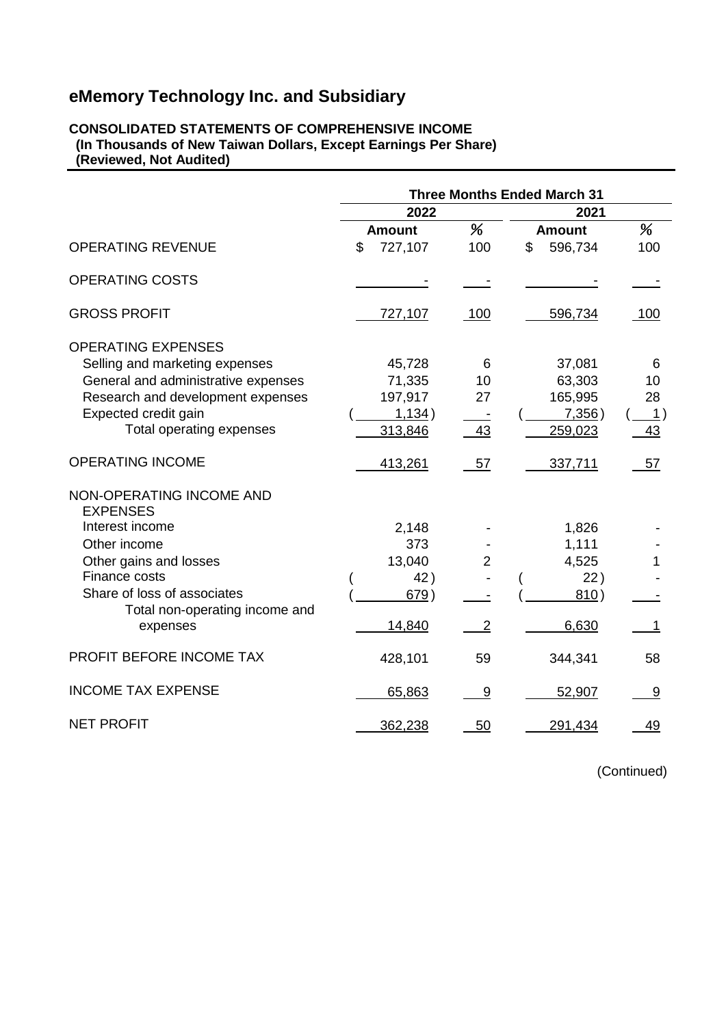#### **CONSOLIDATED STATEMENTS OF COMPREHENSIVE INCOME (In Thousands of New Taiwan Dollars, Except Earnings Per Share) (Reviewed, Not Audited)**

|                                                                                                                                                                                                        | <b>Three Months Ended March 31</b>               |                                  |                                                  |                              |  |
|--------------------------------------------------------------------------------------------------------------------------------------------------------------------------------------------------------|--------------------------------------------------|----------------------------------|--------------------------------------------------|------------------------------|--|
|                                                                                                                                                                                                        | 2022                                             |                                  | 2021                                             |                              |  |
|                                                                                                                                                                                                        | <b>Amount</b>                                    | %                                | <b>Amount</b>                                    | %                            |  |
| <b>OPERATING REVENUE</b>                                                                                                                                                                               | \$<br>727,107                                    | 100                              | \$<br>596,734                                    | 100                          |  |
| <b>OPERATING COSTS</b>                                                                                                                                                                                 |                                                  |                                  |                                                  |                              |  |
| <b>GROSS PROFIT</b>                                                                                                                                                                                    | 727,107                                          | 100                              | 596,734                                          | 100                          |  |
| <b>OPERATING EXPENSES</b><br>Selling and marketing expenses<br>General and administrative expenses<br>Research and development expenses<br>Expected credit gain<br>Total operating expenses            | 45,728<br>71,335<br>197,917<br>1,134)<br>313,846 | 6<br>10<br>27<br>43              | 37,081<br>63,303<br>165,995<br>7,356)<br>259,023 | 6<br>10<br>28<br>- 1 )<br>43 |  |
| <b>OPERATING INCOME</b>                                                                                                                                                                                | 413,261                                          | 57                               | 337,711                                          | 57                           |  |
| NON-OPERATING INCOME AND<br><b>EXPENSES</b><br>Interest income<br>Other income<br>Other gains and losses<br>Finance costs<br>Share of loss of associates<br>Total non-operating income and<br>expenses | 2,148<br>373<br>13,040<br>42)<br>679)<br>14,840  | $\overline{2}$<br>$\overline{2}$ | 1,826<br>1,111<br>4,525<br>22)<br>810)<br>6,630  |                              |  |
| PROFIT BEFORE INCOME TAX                                                                                                                                                                               | 428,101                                          | 59                               | 344,341                                          | 58                           |  |
| <b>INCOME TAX EXPENSE</b>                                                                                                                                                                              | 65,863                                           | 9                                | 52,907                                           | 9                            |  |
| <b>NET PROFIT</b>                                                                                                                                                                                      | 362,238                                          | 50                               | 291,434                                          | 49                           |  |

(Continued)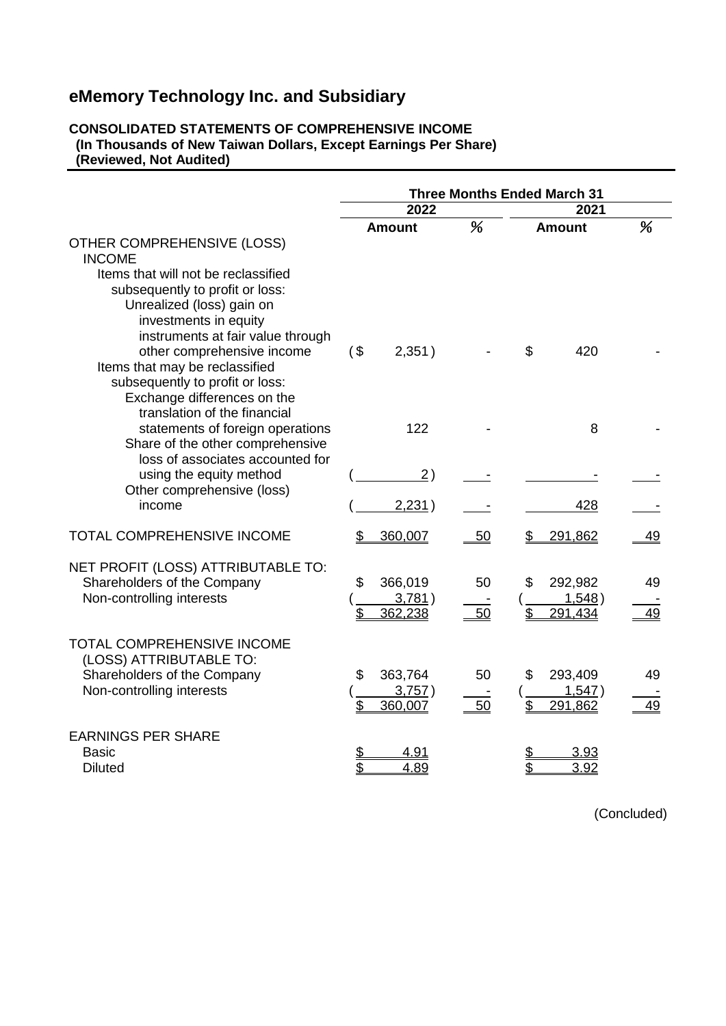#### **CONSOLIDATED STATEMENTS OF COMPREHENSIVE INCOME (In Thousands of New Taiwan Dollars, Except Earnings Per Share) (Reviewed, Not Audited)**

|                                                                                                                                                                                                                                   |                 |                              | <b>Three Months Ended March 31</b> |               |                              |           |  |
|-----------------------------------------------------------------------------------------------------------------------------------------------------------------------------------------------------------------------------------|-----------------|------------------------------|------------------------------------|---------------|------------------------------|-----------|--|
|                                                                                                                                                                                                                                   |                 | 2022                         |                                    | 2021          |                              |           |  |
| <b>OTHER COMPREHENSIVE (LOSS)</b><br><b>INCOME</b>                                                                                                                                                                                |                 | Amount                       |                                    | <b>Amount</b> |                              | %         |  |
| Items that will not be reclassified<br>subsequently to profit or loss:<br>Unrealized (loss) gain on<br>investments in equity<br>instruments at fair value through<br>other comprehensive income<br>Items that may be reclassified | $($ \$          | 2,351)                       |                                    | \$            | 420                          |           |  |
| subsequently to profit or loss:<br>Exchange differences on the<br>translation of the financial<br>statements of foreign operations<br>Share of the other comprehensive                                                            |                 | 122                          |                                    |               | 8                            |           |  |
| loss of associates accounted for<br>using the equity method<br>Other comprehensive (loss)<br>income                                                                                                                               |                 | (2)<br>2,231)                |                                    |               | 428                          |           |  |
| TOTAL COMPREHENSIVE INCOME                                                                                                                                                                                                        |                 | 360,007                      | 50                                 |               | 291,862                      | <u>49</u> |  |
| NET PROFIT (LOSS) ATTRIBUTABLE TO:<br>Shareholders of the Company<br>Non-controlling interests                                                                                                                                    | \$<br>\$        | 366,019<br>3,781)<br>362,238 | 50<br>50                           | \$<br>\$      | 292,982<br>1,548)<br>291,434 | 49<br>49  |  |
| TOTAL COMPREHENSIVE INCOME<br>(LOSS) ATTRIBUTABLE TO:<br>Shareholders of the Company<br>Non-controlling interests                                                                                                                 | \$<br>\$        | 363,764<br>3,757)<br>360,007 | 50<br>50                           | \$<br>\$      | 293,409<br>1,547)<br>291,862 | 49<br>49  |  |
| <b>EARNINGS PER SHARE</b><br><b>Basic</b><br><b>Diluted</b>                                                                                                                                                                       | <u>\$</u><br>\$ | 4.91<br>4.89                 |                                    | \$            | 3.93<br>3.92                 |           |  |

(Concluded)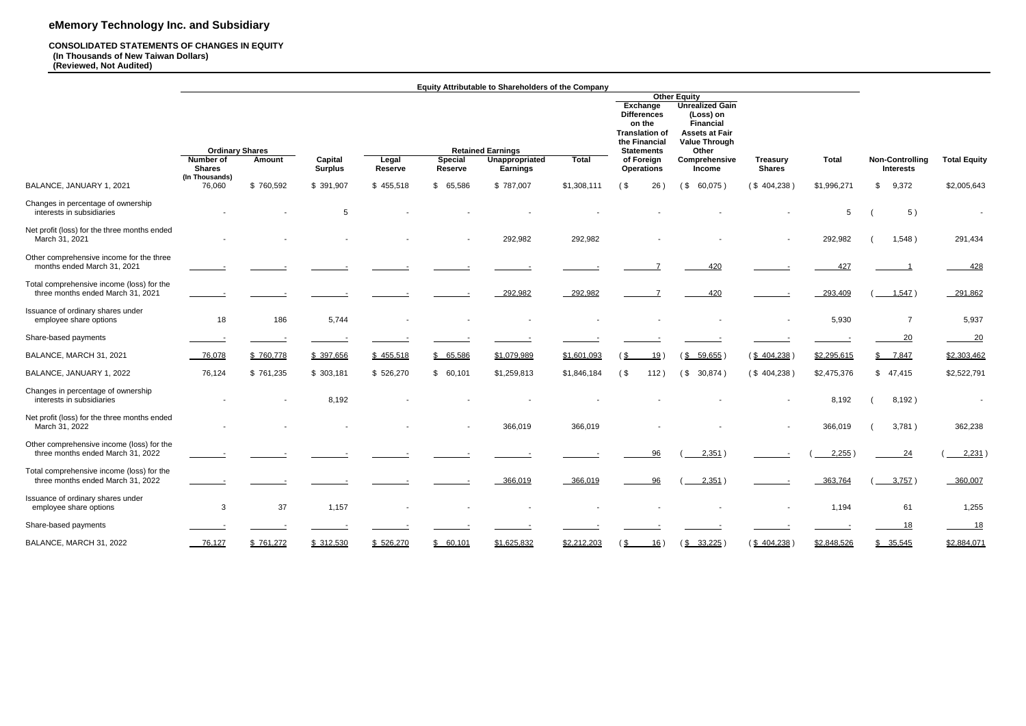#### **CONSOLIDATED STATEMENTS OF CHANGES IN EQUITY (In Thousands of New Taiwan Dollars) (Reviewed, Not Audited)**

|                                                                                |                                                      |           |                           |                  |                                  | Equity Attributable to Shareholders of the Company                   |              |                                                      |                                                                                                                                 |                                  |              |                                            |                     |
|--------------------------------------------------------------------------------|------------------------------------------------------|-----------|---------------------------|------------------|----------------------------------|----------------------------------------------------------------------|--------------|------------------------------------------------------|---------------------------------------------------------------------------------------------------------------------------------|----------------------------------|--------------|--------------------------------------------|---------------------|
|                                                                                |                                                      |           |                           |                  |                                  |                                                                      |              |                                                      | <b>Other Equity</b><br><b>Unrealized Gain</b><br>(Loss) on<br><b>Financial</b><br><b>Assets at Fair</b><br><b>Value Through</b> |                                  |              |                                            |                     |
|                                                                                | <b>Ordinary Shares</b><br>Number of<br><b>Shares</b> | Amount    | Capital<br><b>Surplus</b> | Legal<br>Reserve | <b>Special</b><br><b>Reserve</b> | <b>Retained Earnings</b><br><b>Unappropriated</b><br><b>Earnings</b> | <b>Total</b> | <b>Statements</b><br>of Foreign<br><b>Operations</b> | Other<br>Comprehensive<br><b>Income</b>                                                                                         | <b>Treasury</b><br><b>Shares</b> | <b>Total</b> | <b>Non-Controlling</b><br><b>Interests</b> | <b>Total Equity</b> |
| BALANCE, JANUARY 1, 2021                                                       | (In Thousands)<br>76,060                             | \$760,592 | \$ 391,907                | \$455,518        | \$65,586                         | \$787,007                                                            | \$1,308,111  | (<br>26)                                             | $($ \$<br>60,075)                                                                                                               | (\$404,238)                      | \$1,996,271  | 9,372<br>\$                                | \$2,005,643         |
| Changes in percentage of ownership<br>interests in subsidiaries                |                                                      |           | 5                         |                  |                                  |                                                                      |              |                                                      |                                                                                                                                 |                                  | 5            | 5)                                         | $\sim$              |
| Net profit (loss) for the three months ended<br>March 31, 2021                 |                                                      |           |                           |                  | $\overline{\phantom{a}}$         | 292,982                                                              | 292,982      |                                                      |                                                                                                                                 |                                  | 292,982      | 1,548)                                     | 291,434             |
| Other comprehensive income for the three<br>months ended March 31, 2021        |                                                      |           |                           |                  |                                  |                                                                      |              |                                                      | 420                                                                                                                             |                                  | 427          |                                            | 428                 |
| Total comprehensive income (loss) for the<br>three months ended March 31, 2021 |                                                      |           |                           |                  |                                  | 292,982                                                              | 292,982      |                                                      | 420                                                                                                                             |                                  | 293,409      | 1,547)                                     | 291,862             |
| Issuance of ordinary shares under<br>employee share options                    | 18                                                   | 186       | 5,744                     |                  |                                  |                                                                      |              |                                                      |                                                                                                                                 |                                  | 5,930        | $\overline{7}$                             | 5,937               |
| Share-based payments                                                           |                                                      |           |                           |                  |                                  |                                                                      |              |                                                      |                                                                                                                                 |                                  |              | 20                                         | 20                  |
| BALANCE, MARCH 31, 2021                                                        | 76,078                                               | \$760,778 | \$ 397,656                | \$455,518        | \$65,586                         | \$1,079,989                                                          | \$1,601,093  | 19)<br>(\$                                           | $(\underline{$} 5$ 59,655)                                                                                                      | $(\frac{$404,238}{)$             | \$2,295,615  | \$7,847                                    | \$2,303,462         |
| BALANCE, JANUARY 1, 2022                                                       | 76,124                                               | \$761,235 | \$303,181                 | \$526,270        | \$60,101                         | \$1,259,813                                                          | \$1,846,184  | $($ \$<br>112)                                       | $($ \$<br>30,874)                                                                                                               | (\$404,238)                      | \$2,475,376  | \$47,415                                   | \$2,522,791         |
| Changes in percentage of ownership<br>interests in subsidiaries                |                                                      |           | 8,192                     |                  |                                  |                                                                      |              |                                                      |                                                                                                                                 |                                  | 8,192        | 8,192)                                     | $\sim$              |
| Net profit (loss) for the three months ended<br>March 31, 2022                 |                                                      |           |                           |                  |                                  | 366,019                                                              | 366,019      |                                                      |                                                                                                                                 |                                  | 366,019      | 3,781)                                     | 362,238             |
| Other comprehensive income (loss) for the<br>three months ended March 31, 2022 |                                                      |           |                           |                  |                                  |                                                                      |              | 96                                                   | 2,351)                                                                                                                          |                                  | 2,255        | 24                                         | 2,231               |
| Total comprehensive income (loss) for the<br>three months ended March 31, 2022 |                                                      |           |                           |                  |                                  | 366,019                                                              | 366,019      | 96                                                   | 2,351)                                                                                                                          |                                  | 363,764      | 3,757)                                     | 360,007             |
| Issuance of ordinary shares under<br>employee share options                    | $\mathbf{3}$                                         | $37\,$    | 1,157                     |                  | $\overline{\phantom{a}}$         |                                                                      | $\sim$       |                                                      | $\sim$                                                                                                                          | $\overline{\phantom{a}}$         | 1,194        | 61                                         | 1,255               |
| Share-based payments                                                           |                                                      |           |                           |                  |                                  |                                                                      |              |                                                      |                                                                                                                                 |                                  |              | 18                                         | 18                  |
| BALANCE, MARCH 31, 2022                                                        | $-76,127$                                            | \$761,272 | \$ 312,530                | \$526,270        | \$60,101                         | \$1,625,832                                                          | \$2,212,203  | $\frac{1}{2}$<br>16)                                 | $(\frac{$}{8} \quad \frac{33,225}{2})$                                                                                          | $(\frac{$404,238}{)$             | \$2,848,526  | \$35,545                                   | \$2,884,071         |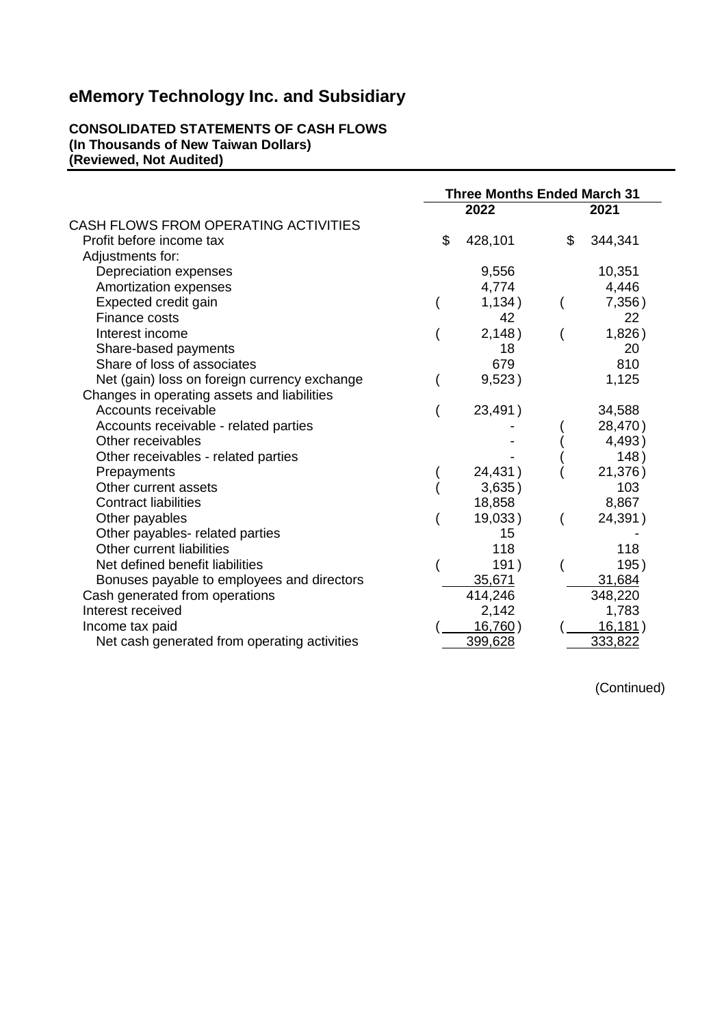#### **CONSOLIDATED STATEMENTS OF CASH FLOWS (In Thousands of New Taiwan Dollars) (Reviewed, Not Audited)**

|                                              | <b>Three Months Ended March 31</b> |    |          |  |  |  |
|----------------------------------------------|------------------------------------|----|----------|--|--|--|
|                                              | 2022                               |    | 2021     |  |  |  |
| CASH FLOWS FROM OPERATING ACTIVITIES         |                                    |    |          |  |  |  |
| Profit before income tax                     | \$<br>428,101                      | \$ | 344,341  |  |  |  |
| Adjustments for:                             |                                    |    |          |  |  |  |
| Depreciation expenses                        | 9,556                              |    | 10,351   |  |  |  |
| Amortization expenses                        | 4,774                              |    | 4,446    |  |  |  |
| Expected credit gain                         | 1,134)                             |    | 7,356)   |  |  |  |
| Finance costs                                | 42                                 |    | 22       |  |  |  |
| Interest income                              | 2,148)                             |    | 1,826)   |  |  |  |
| Share-based payments                         | 18                                 |    | 20       |  |  |  |
| Share of loss of associates                  | 679                                |    | 810      |  |  |  |
| Net (gain) loss on foreign currency exchange | 9,523)                             |    | 1,125    |  |  |  |
| Changes in operating assets and liabilities  |                                    |    |          |  |  |  |
| Accounts receivable                          | 23,491)                            |    | 34,588   |  |  |  |
| Accounts receivable - related parties        |                                    |    | 28,470)  |  |  |  |
| Other receivables                            |                                    |    | 4,493)   |  |  |  |
| Other receivables - related parties          |                                    |    | 148)     |  |  |  |
| Prepayments                                  | 24,431)                            |    | 21,376)  |  |  |  |
| Other current assets                         | 3,635)                             |    | 103      |  |  |  |
| <b>Contract liabilities</b>                  | 18,858                             |    | 8,867    |  |  |  |
| Other payables                               | 19,033)                            |    | 24,391)  |  |  |  |
| Other payables- related parties              | 15                                 |    |          |  |  |  |
| Other current liabilities                    | 118                                |    | 118      |  |  |  |
| Net defined benefit liabilities              | 191)                               |    | 195)     |  |  |  |
| Bonuses payable to employees and directors   | 35,671                             |    | 31,684   |  |  |  |
| Cash generated from operations               | 414,246                            |    | 348,220  |  |  |  |
| Interest received                            | 2,142                              |    | 1,783    |  |  |  |
| Income tax paid                              | 16,760)                            |    | 16, 181) |  |  |  |
| Net cash generated from operating activities | 399,628                            |    | 333,822  |  |  |  |

(Continued)